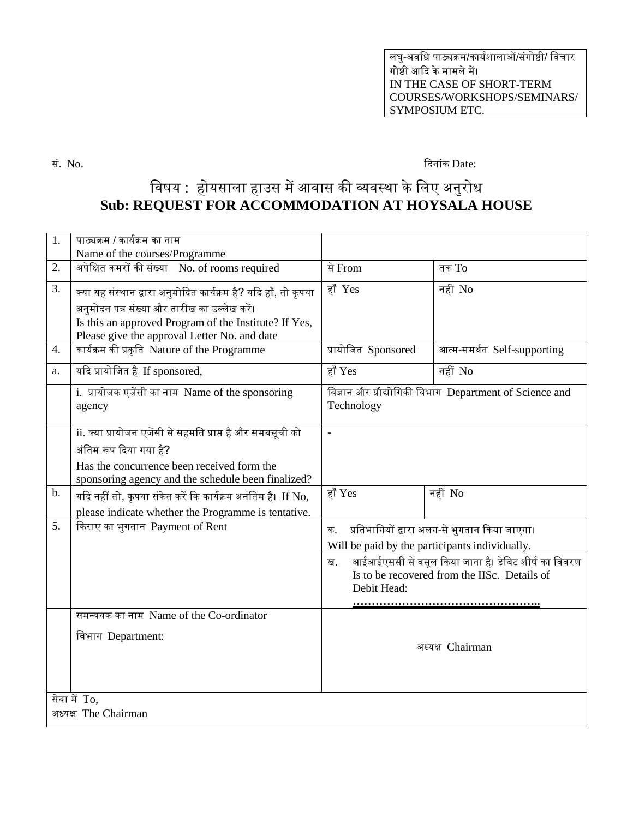लघु-अवधि पाठ्यक्रम/कार्यशालाओं/संगोष्ठी/ धवचार गोष्ठी आदि के मामले में। IN THE CASE OF SHORT-TERM COURSES/WORKSHOPS/SEMINARS/ SYMPOSIUM ETC.

सं. No. दिनांक Date:

## विषय : होयसाला हाउस में आवास की व्यवस्था के लिए अनुरोध **Sub: REQUEST FOR ACCOMMODATION AT HOYSALA HOUSE**

| 1.                                   | पाठ्यक्रम / कार्यक्रम का नाम<br>Name of the courses/Programme                                                                                                                                                            |                                                                                                                                                                                                                                       |                             |
|--------------------------------------|--------------------------------------------------------------------------------------------------------------------------------------------------------------------------------------------------------------------------|---------------------------------------------------------------------------------------------------------------------------------------------------------------------------------------------------------------------------------------|-----------------------------|
| 2.                                   | अपेक्षित कमरों की संख्या No. of rooms required                                                                                                                                                                           | से From                                                                                                                                                                                                                               | तक $To$                     |
| 3.                                   | क्या यह संस्थान द्वारा अनुमोदित कार्यक्रम है? यदि हाँ, तो कृपया<br>अनुमोदन पत्र संख्या और तारीख का उल्लेख करें।<br>Is this an approved Program of the Institute? If Yes,<br>Please give the approval Letter No. and date | हाँ Yes                                                                                                                                                                                                                               | नहीं No                     |
| 4.                                   | कार्यक्रम की प्रकृति Nature of the Programme                                                                                                                                                                             | प्रायोजित Sponsored                                                                                                                                                                                                                   | आत्म-समर्थन Self-supporting |
| a.                                   | यदि प्रायोजित है If sponsored,                                                                                                                                                                                           | हाँ Yes                                                                                                                                                                                                                               | नहीं No                     |
|                                      | i. प्रायोजक एजेंसी का नाम Name of the sponsoring<br>agency                                                                                                                                                               | विज्ञान और प्रौद्योगिकी विभाग Department of Science and<br>Technology                                                                                                                                                                 |                             |
|                                      | ii. क्या प्रायोजन एजेंसी से सहमति प्राप्त है और समयसूची को<br>अंतिम रूप दिया गया है?<br>Has the concurrence been received form the<br>sponsoring agency and the schedule been finalized?                                 | $\equiv$                                                                                                                                                                                                                              |                             |
| b.                                   | यदि नहीं तो, कृपया संकेत करें कि कार्यक्रम अनंतिम है। If No,<br>please indicate whether the Programme is tentative.                                                                                                      | हाँ Yes                                                                                                                                                                                                                               | नहीं No                     |
| 5.                                   | किराए का भुगतान Payment of Rent                                                                                                                                                                                          | प्रतिभागियों द्वारा अलग-से भुगतान किया जाएगा।<br>क.<br>Will be paid by the participants individually.<br>आईआईएससी से वसूल किया जाना है। डेबिट शीर्ष का विवरण<br>ख.<br>Is to be recovered from the IISc. Details of<br>Debit Head:<br> |                             |
|                                      | समन्वयक का नाम Name of the Co-ordinator                                                                                                                                                                                  |                                                                                                                                                                                                                                       |                             |
|                                      | विभाग Department:                                                                                                                                                                                                        |                                                                                                                                                                                                                                       | अध्यक्ष Chairman            |
| सेवा में To,<br>अध्यक्ष The Chairman |                                                                                                                                                                                                                          |                                                                                                                                                                                                                                       |                             |